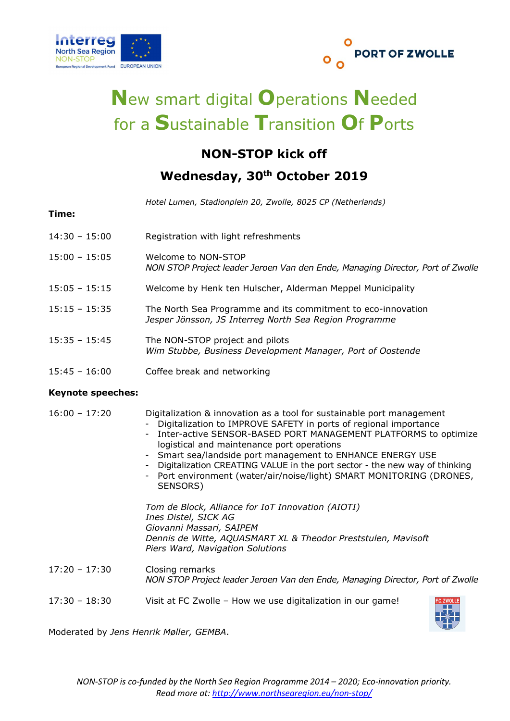



# New smart digital Operations Needed for a Sustainable Transition Of Ports

## NON-STOP kick off

### Wednesday, 30<sup>th</sup> October 2019

Hotel Lumen, Stadionplein 20, Zwolle, 8025 CP (Netherlands)

#### Time:

- 14:30 15:00 Registration with light refreshments
- 15:00 15:05 Welcome to NON-STOP NON STOP Project leader Jeroen Van den Ende, Managing Director, Port of Zwolle
- 15:05 15:15 Welcome by Henk ten Hulscher, Alderman Meppel Municipality
- 15:15 15:35 The North Sea Programme and its commitment to eco-innovation Jesper Jönsson, JS Interreg North Sea Region Programme
- 15:35 15:45 The NON-STOP project and pilots Wim Stubbe, Business Development Manager, Port of Oostende
- 15:45 16:00 Coffee break and networking

#### Keynote speeches:

16:00 – 17:20 Digitalization & innovation as a tool for sustainable port management

- Digitalization to IMPROVE SAFETY in ports of regional importance
- Inter-active SENSOR-BASED PORT MANAGEMENT PLATFORMS to optimize logistical and maintenance port operations
- Smart sea/landside port management to ENHANCE ENERGY USE
- Digitalization CREATING VALUE in the port sector the new way of thinking
	- Port environment (water/air/noise/light) SMART MONITORING (DRONES, SENSORS)

Tom de Block, Alliance for IoT Innovation (AIOTI) Ines Distel, SICK AG Giovanni Massari, SAIPEM Dennis de Witte, AQUASMART XL & Theodor Preststulen, Mavisoft Piers Ward, Navigation Solutions

- 17:20 17:30 Closing remarks NON STOP Project leader Jeroen Van den Ende, Managing Director, Port of Zwolle
- 17:30 18:30 Visit at FC Zwolle How we use digitalization in our game!



Moderated by Jens Henrik Møller, GEMBA.